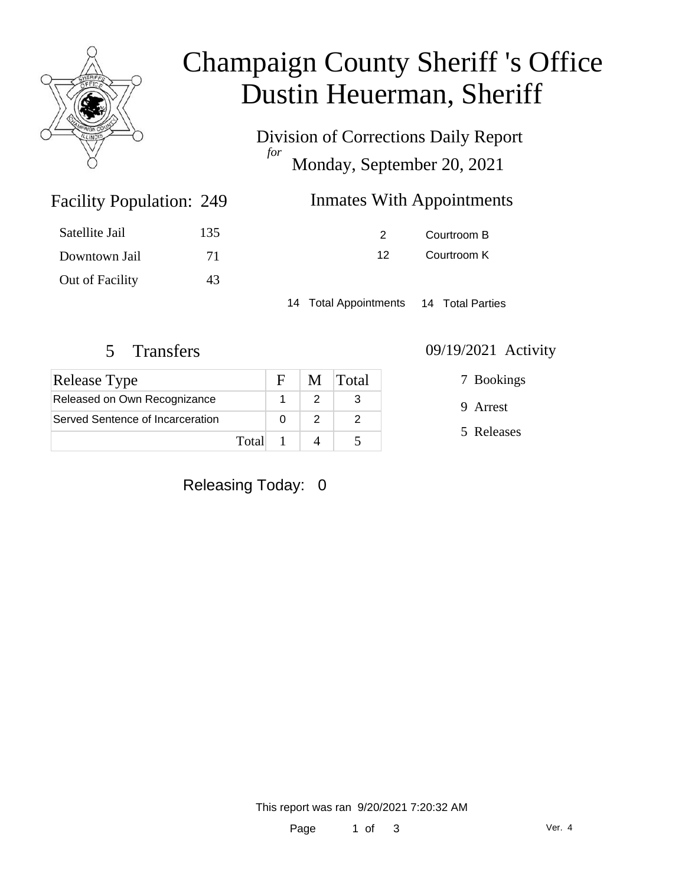

# Champaign County Sheriff 's Office Dustin Heuerman, Sheriff

Division of Corrections Daily Report *for* Monday, September 20, 2021

## Inmates With Appointments

| Satellite Jail  | 135 |
|-----------------|-----|
| Downtown Jail   | 71  |
| Out of Facility | 43. |

Facility Population: 249

2 Courtroom B 12 Courtroom K

14 Total Appointments 14 Total Parties

| Release Type                     |       | F | M Total |
|----------------------------------|-------|---|---------|
| Released on Own Recognizance     |       |   |         |
| Served Sentence of Incarceration |       |   |         |
|                                  | Total |   |         |

#### 5 Transfers 09/19/2021 Activity

7 Bookings

9 Arrest

5 Releases

Releasing Today: 0

This report was ran 9/20/2021 7:20:32 AM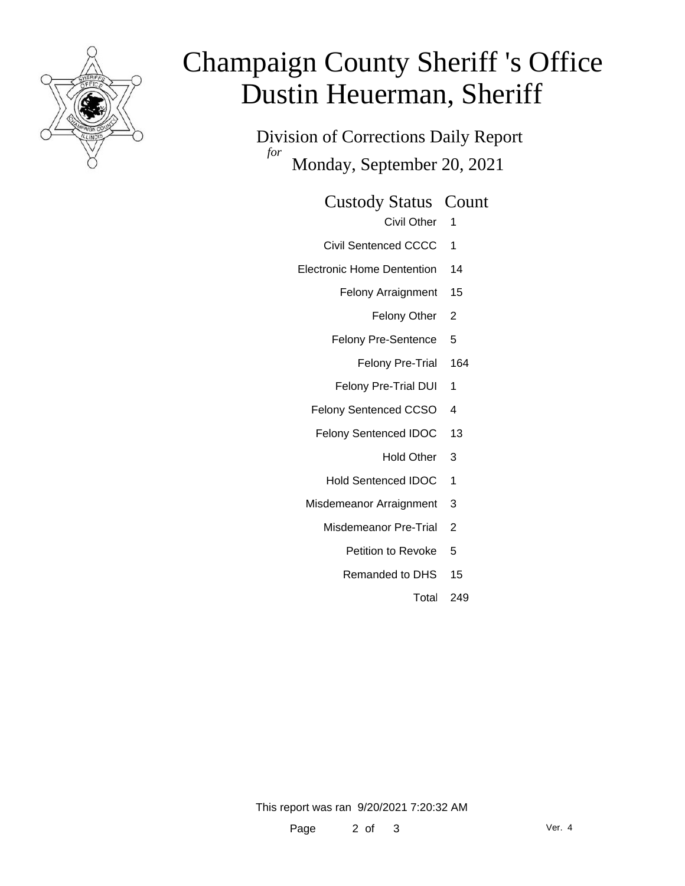

# Champaign County Sheriff 's Office Dustin Heuerman, Sheriff

Division of Corrections Daily Report *for* Monday, September 20, 2021

Custody Status Count

- Civil Other 1
- Civil Sentenced CCCC 1
- Electronic Home Dentention 14
	- Felony Arraignment 15
		- Felony Other 2
	- Felony Pre-Sentence 5
		- Felony Pre-Trial 164
	- Felony Pre-Trial DUI 1
	- Felony Sentenced CCSO 4
	- Felony Sentenced IDOC 13
		- Hold Other 3
		- Hold Sentenced IDOC 1
	- Misdemeanor Arraignment 3
		- Misdemeanor Pre-Trial 2
			- Petition to Revoke 5
			- Remanded to DHS 15
				- Total 249

This report was ran 9/20/2021 7:20:32 AM